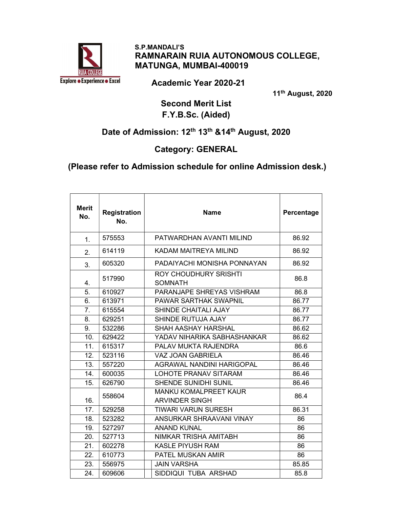

 S.P.MANDALI'S RAMNARAIN RUIA AUTONOMOUS COLLEGE, MATUNGA, MUMBAI-400019

Academic Year 2020-21

11th August, 2020

#### Second Merit List F.Y.B.Sc. (Aided)

# Date of Admission: 12<sup>th</sup> 13<sup>th</sup> &14<sup>th</sup> August, 2020

#### Category: GENERAL

#### (Please refer to Admission schedule for online Admission desk.)

| <b>Merit</b><br>No. | <b>Registration</b><br>No. | <b>Name</b>                                           | Percentage |
|---------------------|----------------------------|-------------------------------------------------------|------------|
| 1.                  | 575553                     | PATWARDHAN AVANTI MILIND                              | 86.92      |
| 2.                  | 614119                     | KADAM MAITREYA MILIND                                 | 86.92      |
| 3.                  | 605320                     | PADAIYACHI MONISHA PONNAYAN                           | 86.92      |
| 4.                  | 517990                     | <b>ROY CHOUDHURY SRISHTI</b><br><b>SOMNATH</b>        | 86.8       |
| 5.                  | 610927                     | PARANJAPE SHREYAS VISHRAM                             | 86.8       |
| 6.                  | 613971                     | <b>PAWAR SARTHAK SWAPNIL</b>                          | 86.77      |
| 7.                  | 615554                     | <b>SHINDE CHAITALI AJAY</b>                           | 86.77      |
| 8.                  | 629251                     | SHINDE RUTUJA AJAY                                    | 86.77      |
| 9.                  | 532286                     | <b>SHAH AASHAY HARSHAL</b>                            | 86.62      |
| 10.                 | 629422                     | YADAV NIHARIKA SABHASHANKAR                           | 86.62      |
| 11.                 | 615317                     | PALAV MUKTA RAJENDRA                                  | 86.6       |
| 12.                 | 523116                     | <b>VAZ JOAN GABRIELA</b>                              | 86.46      |
| 13.                 | 557220                     | <b>AGRAWAL NANDINI HARIGOPAL</b>                      | 86.46      |
| 14.                 | 600035                     | <b>LOHOTE PRANAV SITARAM</b>                          | 86.46      |
| 15.                 | 626790                     | <b>SHENDE SUNIDHI SUNIL</b>                           | 86.46      |
| 16.                 | 558604                     | <b>MANKU KOMALPREET KAUR</b><br><b>ARVINDER SINGH</b> | 86.4       |
| 17.                 | 529258                     | <b>TIWARI VARUN SURESH</b>                            | 86.31      |
| 18.                 | 523282                     | ANSURKAR SHRAAVANI VINAY                              | 86         |
| 19.                 | 527297                     | <b>ANAND KUNAL</b>                                    | 86         |
| 20.                 | 527713                     | <b>NIMKAR TRISHA AMITABH</b>                          | 86         |
| 21.                 | 602278                     | <b>KASLE PIYUSH RAM</b>                               | 86         |
| 22.                 | 610773                     | PATEL MUSKAN AMIR                                     | 86         |
| 23.                 | 556975                     | <b>JAIN VARSHA</b>                                    | 85.85      |
| 24.                 | 609606                     | SIDDIQUI TUBA ARSHAD                                  | 85.8       |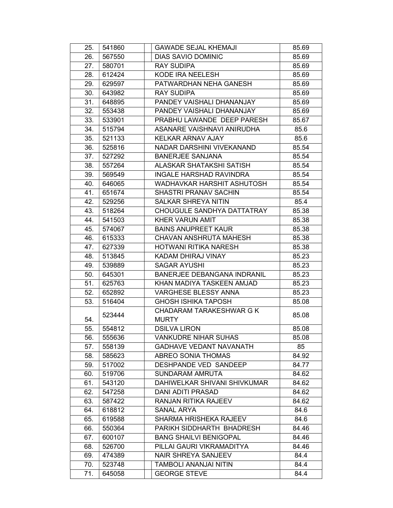| 25. | 541860 | <b>GAWADE SEJAL KHEMAJI</b>        | 85.69 |
|-----|--------|------------------------------------|-------|
| 26. | 567550 | <b>DIAS SAVIO DOMINIC</b>          | 85.69 |
| 27. | 580701 | <b>RAY SUDIPA</b>                  | 85.69 |
| 28. | 612424 | KODE IRA NEELESH                   | 85.69 |
| 29. | 629597 | PATWARDHAN NEHA GANESH             | 85.69 |
| 30. | 643982 | <b>RAY SUDIPA</b>                  | 85.69 |
| 31. | 648895 | PANDEY VAISHALI DHANANJAY          | 85.69 |
| 32. | 553438 | PANDEY VAISHALI DHANANJAY          | 85.69 |
| 33. | 533901 | PRABHU LAWANDE DEEP PARESH         | 85.67 |
| 34. | 515794 | ASANARE VAISHNAVI ANIRUDHA         | 85.6  |
| 35. | 521133 | KELKAR ARNAV AJAY                  | 85.6  |
| 36. | 525816 | NADAR DARSHINI VIVEKANAND          | 85.54 |
| 37. | 527292 | <b>BANERJEE SANJANA</b>            | 85.54 |
| 38. | 557264 | ALASKAR SHATAKSHI SATISH           | 85.54 |
| 39. | 569549 | <b>INGALE HARSHAD RAVINDRA</b>     | 85.54 |
| 40. | 646065 | WADHAVKAR HARSHIT ASHUTOSH         | 85.54 |
| 41. | 651674 | SHASTRI PRANAV SACHIN              | 85.54 |
| 42. | 529256 | SALKAR SHREYA NITIN                | 85.4  |
| 43. | 518264 | CHOUGULE SANDHYA DATTATRAY         | 85.38 |
| 44. | 541503 | KHER VARUN AMIT                    | 85.38 |
| 45. | 574067 | <b>BAINS ANUPREET KAUR</b>         | 85.38 |
| 46. | 615333 | <b>CHAVAN ANSHRUTA MAHESH</b>      | 85.38 |
| 47. | 627339 | HOTWANI RITIKA NARESH              | 85.38 |
| 48. | 513845 | KADAM DHIRAJ VINAY                 | 85.23 |
| 49. | 539889 | <b>SAGAR AYUSHI</b>                | 85.23 |
| 50. | 645301 | <b>BANERJEE DEBANGANA INDRANIL</b> | 85.23 |
| 51. | 625763 | KHAN MADIYA TASKEEN AMJAD          | 85.23 |
| 52. | 652892 | <b>VARGHESE BLESSY ANNA</b>        | 85.23 |
| 53. | 516404 | <b>GHOSH ISHIKA TAPOSH</b>         | 85.08 |
|     | 523444 | CHADARAM TARAKESHWAR G K           | 85.08 |
| 54. |        | <b>MURTY</b>                       |       |
| 55. | 554812 | <b>DSILVA LIRON</b>                | 85.08 |
| 56. | 555636 | <b>VANKUDRE NIHAR SUHAS</b>        | 85.08 |
| 57. | 558139 | <b>GADHAVE VEDANT NAVANATH</b>     | 85    |
| 58. | 585623 | ABREO SONIA THOMAS                 | 84.92 |
| 59. | 517002 | DESHPANDE VED SANDEEP              | 84.77 |
| 60. | 519706 | <b>SUNDARAM AMRUTA</b>             | 84.62 |
| 61. | 543120 | DAHIWELKAR SHIVANI SHIVKUMAR       | 84.62 |
| 62. | 547258 | <b>DANI ADITI PRASAD</b>           | 84.62 |
| 63. | 587422 | RANJAN RITIKA RAJEEV               | 84.62 |
| 64. | 618812 | SANAL ARYA                         | 84.6  |
| 65. | 619588 | SHARMA HRISHEKA RAJEEV             | 84.6  |
| 66. | 550364 | PARIKH SIDDHARTH BHADRESH          | 84.46 |
| 67. | 600107 | <b>BANG SHAILVI BENIGOPAL</b>      | 84.46 |
| 68. | 526700 | PILLAI GAURI VIKRAMADITYA          | 84.46 |
| 69. | 474389 | <b>NAIR SHREYA SANJEEV</b>         | 84.4  |
| 70. | 523748 | TAMBOLI ANANJAI NITIN              | 84.4  |
| 71. | 645058 | <b>GEORGE STEVE</b>                | 84.4  |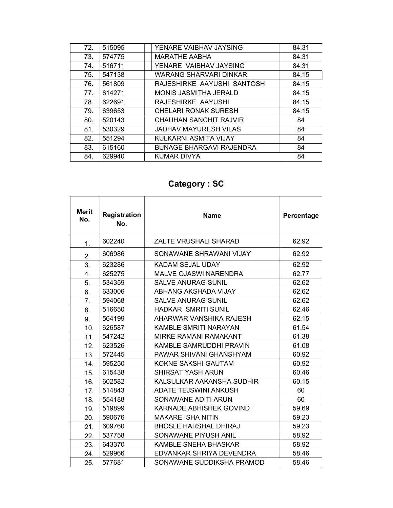| 72. | 515095 | YENARE VAIBHAV JAYSING          | 84.31 |
|-----|--------|---------------------------------|-------|
| 73. | 574775 | <b>MARATHE AABHA</b>            | 84.31 |
| 74. | 516711 | YENARE VAIBHAV JAYSING          | 84.31 |
| 75. | 547138 | WARANG SHARVARI DINKAR          | 84.15 |
| 76. | 561809 | RAJESHIRKE AAYUSHI SANTOSH      | 84.15 |
| 77. | 614271 | MONIS JASMITHA JERALD           | 84.15 |
| 78. | 622691 | RAJESHIRKE AAYUSHI              | 84.15 |
| 79. | 639653 | <b>CHELARI RONAK SURESH</b>     | 84.15 |
| 80. | 520143 | CHAUHAN SANCHIT RAJVIR          | 84    |
| 81. | 530329 | <b>JADHAV MAYURESH VILAS</b>    | 84    |
| 82. | 551294 | KULKARNI ASMITA VIJAY           | 84    |
| 83. | 615160 | <b>BUNAGE BHARGAVI RAJENDRA</b> | 84    |
| 84. | 629940 | KUMAR DIVYA                     | 84    |
|     |        |                                 |       |

## Category : SC

| <b>Merit</b><br>No. | <b>Registration</b><br>No. | <b>Name</b>                    | Percentage |
|---------------------|----------------------------|--------------------------------|------------|
| 1.                  | 602240                     | <b>ZALTE VRUSHALI SHARAD</b>   | 62.92      |
| 2.                  | 606986                     | SONAWANE SHRAWANI VIJAY        | 62.92      |
| 3.                  | 623286                     | KADAM SEJAL UDAY               | 62.92      |
| 4.                  | 625275                     | <b>MALVE OJASWI NARENDRA</b>   | 62.77      |
| 5.                  | 534359                     | <b>SALVE ANURAG SUNIL</b>      | 62.62      |
| 6.                  | 633006                     | ABHANG AKSHADA VIJAY           | 62.62      |
| 7.                  | 594068                     | <b>SALVE ANURAG SUNIL</b>      | 62.62      |
| 8.                  | 516650                     | <b>HADKAR SMRITI SUNIL</b>     | 62.46      |
| 9.                  | 564199                     | AHARWAR VANSHIKA RAJESH        | 62.15      |
| 10.                 | 626587                     | <b>KAMBLE SMRITI NARAYAN</b>   | 61.54      |
| 11.                 | 547242                     | <b>MIRKE RAMANI RAMAKANT</b>   | 61.38      |
| 12.                 | 623526                     | <b>KAMBLE SAMRUDDHI PRAVIN</b> | 61.08      |
| 13.                 | 572445                     | PAWAR SHIVANI GHANSHYAM        | 60.92      |
| 14.                 | 595250                     | KOKNE SAKSHI GAUTAM            | 60.92      |
| 15.                 | 615438                     | <b>SHIRSAT YASH ARUN</b>       | 60.46      |
| 16.                 | 602582                     | KALSULKAR AAKANSHA SUDHIR      | 60.15      |
| 17.                 | 514843                     | ADATE TEJSWINI ANKUSH          | 60         |
| 18.                 | 554188                     | SONAWANE ADITI ARUN            | 60         |
| 19.                 | 519899                     | <b>KARNADE ABHISHEK GOVIND</b> | 59.69      |
| 20.                 | 590676                     | <b>MAKARE ISHA NITIN</b>       | 59.23      |
| 21.                 | 609760                     | <b>BHOSLE HARSHAL DHIRAJ</b>   | 59.23      |
| 22.                 | 537758                     | SONAWANE PIYUSH ANIL           | 58.92      |
| 23.                 | 643370                     | KAMBLE SNEHA BHASKAR           | 58.92      |
| 24.                 | 529966                     | EDVANKAR SHRIYA DEVENDRA       | 58.46      |
| 25.                 | 577681                     | SONAWANE SUDDIKSHA PRAMOD      | 58.46      |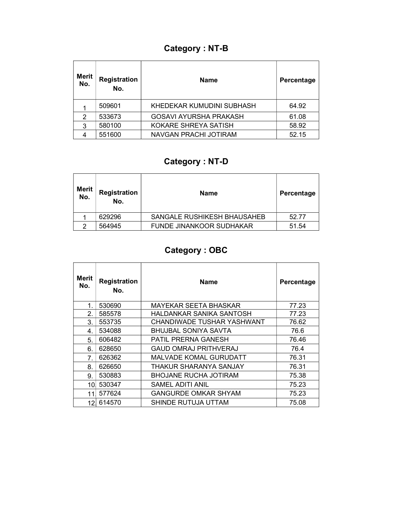## Category : NT-B

| <b>Merit</b><br>No. | <b>Registration</b><br>No. | <b>Name</b>                   | Percentage |
|---------------------|----------------------------|-------------------------------|------------|
|                     | 509601                     | KHEDEKAR KUMUDINI SUBHASH     | 64.92      |
| 2                   | 533673                     | <b>GOSAVI AYURSHA PRAKASH</b> | 61.08      |
| 3                   | 580100                     | KOKARE SHREYA SATISH          | 58.92      |
|                     | 551600                     | NAVGAN PRACHI JOTIRAM         | 52.15      |

## Category : NT-D

| <b>Merit</b><br>No. | Registration<br>No. | <b>Name</b>                     | Percentage |
|---------------------|---------------------|---------------------------------|------------|
|                     | 629296              | SANGALE RUSHIKESH BHAUSAHEB     | 52.77      |
| ົ                   | 564945              | <b>FUNDE JINANKOOR SUDHAKAR</b> | 51.54      |

## Category : OBC

| Merit<br>No.     | <b>Registration</b><br>No. | <b>Name</b>                   | Percentage |
|------------------|----------------------------|-------------------------------|------------|
| 1 <sub>1</sub>   | 530690                     | MAYEKAR SEETA BHASKAR         | 77.23      |
| 2.               | 585578                     | HALDANKAR SANIKA SANTOSH      | 77.23      |
| 3.               | 553735                     | CHANDIWADE TUSHAR YASHWANT    | 76.62      |
| 4.               | 534088                     | <b>BHUJBAL SONIYA SAVTA</b>   | 76.6       |
| 5.               | 606482                     | <b>PATIL PRERNA GANESH</b>    | 76.46      |
| 6.               | 628650                     | <b>GAUD OMRAJ PRITHVERAJ</b>  | 76.4       |
| $\overline{7}$ . | 626362                     | <b>MALVADE KOMAL GURUDATT</b> | 76.31      |
| 8.               | 626650                     | THAKUR SHARANYA SANJAY        | 76.31      |
| 9.               | 530883                     | <b>BHOJANE RUCHA JOTIRAM</b>  | 75.38      |
| 10               | 530347                     | SAMEL ADITI ANIL              | 75.23      |
| 11               | 577624                     | <b>GANGURDE OMKAR SHYAM</b>   | 75.23      |
| 12 <sub>1</sub>  | 614570                     | SHINDE RUTUJA UTTAM           | 75.08      |